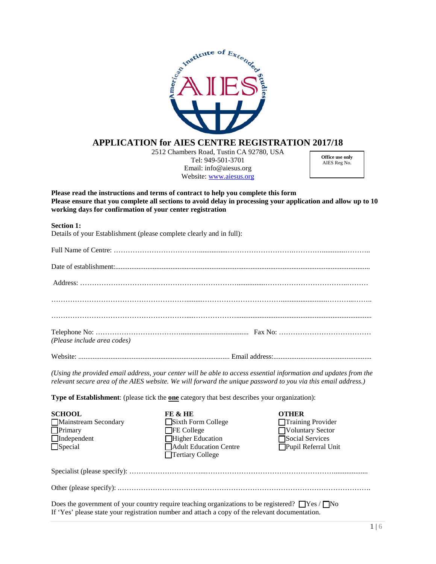

# **APPLICATION for AIES CENTRE REGISTRATION 2017/18**

2512 Chambers Road, Tustin CA 92780, USA Tel: 949-501-3701 Email: info@aiesus.org Website: [www.aiesus.org](http://www.aiesus.org/)

**Office use only** AIES Reg No.

**Please read the instructions and terms of contract to help you complete this form Please ensure that you complete all sections to avoid delay in processing your application and allow up to 10 working days for confirmation of your center registration** 

#### **Section 1:**

Details of your Establishment (please complete clearly and in full):

| (Please include area codes) |  |
|-----------------------------|--|
|                             |  |

*(Using the provided email address, your center will be able to access essential information and updates from the* 

*relevant secure area of the AIES website. We will forward the unique password to you via this email address.)*

**Type of Establishment**: (please tick the **one** category that best describes your organization):

| <b>SCHOOL</b>        | FE & HE                       | OTHER                    |
|----------------------|-------------------------------|--------------------------|
| Mainstream Secondary | Sixth Form College            | $\Box$ Training Provider |
| $\Box$ Primary       | $\Box$ FE College             | Voluntary Sector         |
| $\Box$ Independent   | Higher Education              | Social Services          |
| $\Box$ Special       | <b>Adult Education Centre</b> | Pupil Referral Unit      |
|                      | $\Box$ Tertiary College       |                          |
|                      |                               |                          |

Specialist (please specify): …………………………...………………………………………………...................

Other (please specify): .…………………………………………………………………………………………….

Does the government of your country require teaching organizations to be registered?  $\Box$ Yes /  $\Box$ No If 'Yes' please state your registration number and attach a copy of the relevant documentation.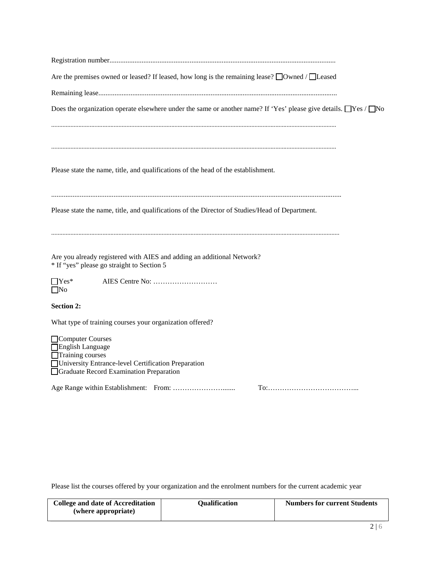| Are the premises owned or leased? If leased, how long is the remaining lease? $\Box$ Owned / $\Box$ Leased                                                 |
|------------------------------------------------------------------------------------------------------------------------------------------------------------|
|                                                                                                                                                            |
| Does the organization operate elsewhere under the same or another name? If 'Yes' please give details. $\Box$ Yes / $\Box$ No                               |
|                                                                                                                                                            |
|                                                                                                                                                            |
| Please state the name, title, and qualifications of the head of the establishment.                                                                         |
| Please state the name, title, and qualifications of the Director of Studies/Head of Department.                                                            |
| Are you already registered with AIES and adding an additional Network?<br>* If "yes" please go straight to Section 5                                       |
| $\Box$ Yes*<br>$\Box$ No                                                                                                                                   |
| <b>Section 2:</b>                                                                                                                                          |
| What type of training courses your organization offered?                                                                                                   |
| Computer Courses<br>English Language<br>Training courses<br>University Entrance-level Certification Preparation<br>Graduate Record Examination Preparation |
|                                                                                                                                                            |

Please list the courses offered by your organization and the enrolment numbers for the current academic year

| College and date of Accreditation | Oualification | <b>Numbers for current Students</b> |
|-----------------------------------|---------------|-------------------------------------|
| (where appropriate)               |               |                                     |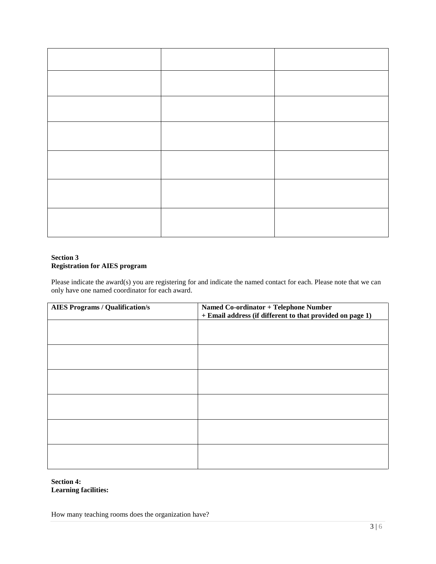## **Section 3 Registration for AIES program**

Please indicate the award(s) you are registering for and indicate the named contact for each. Please note that we can only have one named coordinator for each award.

| <b>AIES Programs / Qualification/s</b> | Named Co-ordinator + Telephone Number                     |  |
|----------------------------------------|-----------------------------------------------------------|--|
|                                        | + Email address (if different to that provided on page 1) |  |
|                                        |                                                           |  |
|                                        |                                                           |  |
|                                        |                                                           |  |
|                                        |                                                           |  |
|                                        |                                                           |  |
|                                        |                                                           |  |
|                                        |                                                           |  |
|                                        |                                                           |  |
|                                        |                                                           |  |
|                                        |                                                           |  |
|                                        |                                                           |  |
|                                        |                                                           |  |
|                                        |                                                           |  |
|                                        |                                                           |  |
|                                        |                                                           |  |
|                                        |                                                           |  |
|                                        |                                                           |  |
|                                        |                                                           |  |

## **Section 4: Learning facilities:**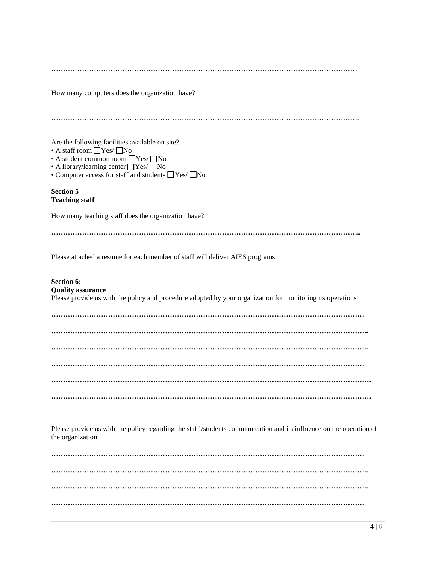…………………………………………………………………………………………………………………

How many computers does the organization have?

| Are the following facilities available on site?<br>$\bullet$ A staff room $\Box$ Yes/ $\Box$ No<br>• A student common room $\Box$ Yes/ $\Box$ No<br>• A library/learning center TYes/TNo<br>• Computer access for staff and students $\Box$ Yes/ $\Box$ No |
|------------------------------------------------------------------------------------------------------------------------------------------------------------------------------------------------------------------------------------------------------------|
| <b>Section 5</b><br><b>Teaching staff</b>                                                                                                                                                                                                                  |
| How many teaching staff does the organization have?                                                                                                                                                                                                        |
|                                                                                                                                                                                                                                                            |
| Please attached a resume for each member of staff will deliver AIES programs                                                                                                                                                                               |
| Section 6:<br><b>Quality assurance</b><br>Please provide us with the policy and procedure adopted by your organization for monitoring its operations                                                                                                       |
|                                                                                                                                                                                                                                                            |
|                                                                                                                                                                                                                                                            |
|                                                                                                                                                                                                                                                            |
|                                                                                                                                                                                                                                                            |
|                                                                                                                                                                                                                                                            |
|                                                                                                                                                                                                                                                            |
|                                                                                                                                                                                                                                                            |

Please provide us with the policy regarding the staff /students communication and its influence on the operation of the organization

**…………………………………………………………………………………………………………………… …………………………………………………………………………………………………………………….. …………………………………………………………………………………………………………………….. ……………………………………………………………………………………………………………………**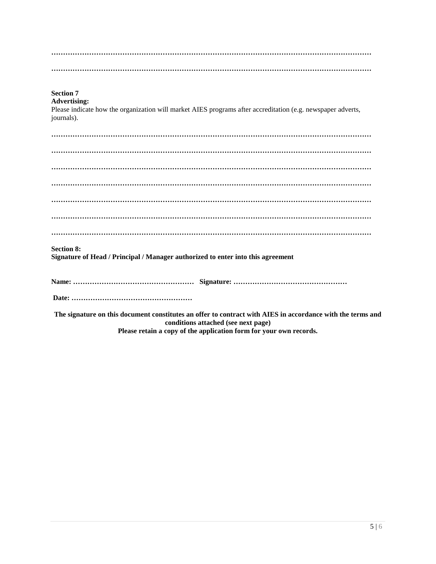| <b>Section 7</b><br><b>Advertising:</b><br>Please indicate how the organization will market AIES programs after accreditation (e.g. newspaper adverts,<br>journals).                                                    |
|-------------------------------------------------------------------------------------------------------------------------------------------------------------------------------------------------------------------------|
|                                                                                                                                                                                                                         |
|                                                                                                                                                                                                                         |
|                                                                                                                                                                                                                         |
|                                                                                                                                                                                                                         |
|                                                                                                                                                                                                                         |
|                                                                                                                                                                                                                         |
|                                                                                                                                                                                                                         |
| <b>Section 8:</b><br>Signature of Head / Principal / Manager authorized to enter into this agreement                                                                                                                    |
|                                                                                                                                                                                                                         |
|                                                                                                                                                                                                                         |
| The signature on this document constitutes an offer to contract with AIES in accordance with the terms and<br>conditions attached (see next page)<br>Please retain a copy of the application form for your own records. |
|                                                                                                                                                                                                                         |